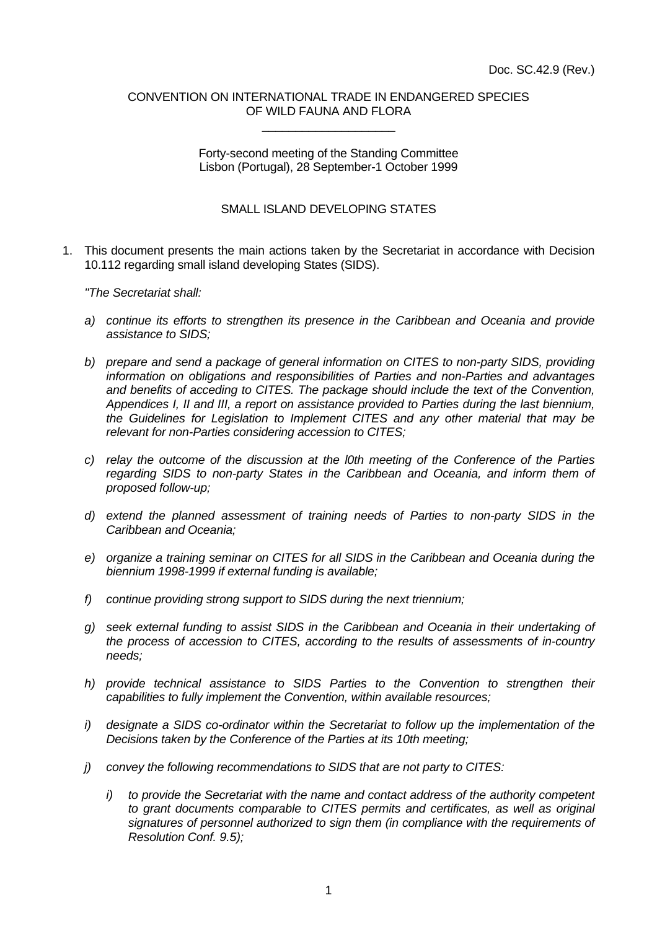## CONVENTION ON INTERNATIONAL TRADE IN ENDANGERED SPECIES OF WILD FAUNA AND FLORA \_\_\_\_\_\_\_\_\_\_\_\_\_\_\_\_\_\_\_\_

Forty-second meeting of the Standing Committee Lisbon (Portugal), 28 September-1 October 1999

## SMALL ISLAND DEVELOPING STATES

1. This document presents the main actions taken by the Secretariat in accordance with Decision 10.112 regarding small island developing States (SIDS).

*"The Secretariat shall:*

- *a) continue its efforts to strengthen its presence in the Caribbean and Oceania and provide assistance to SIDS;*
- *b) prepare and send a package of general information on CITES to non-party SIDS, providing information on obligations and responsibilities of Parties and non-Parties and advantages and benefits of acceding to CITES. The package should include the text of the Convention, Appendices I, II and III, a report on assistance provided to Parties during the last biennium, the Guidelines for Legislation to Implement CITES and any other material that may be relevant for non-Parties considering accession to CITES;*
- *c) relay the outcome of the discussion at the l0th meeting of the Conference of the Parties regarding SIDS to non-party States in the Caribbean and Oceania, and inform them of proposed follow-up;*
- *d) extend the planned assessment of training needs of Parties to non-party SIDS in the Caribbean and Oceania;*
- *e) organize a training seminar on CITES for all SIDS in the Caribbean and Oceania during the biennium 1998-1999 if external funding is available;*
- *f) continue providing strong support to SIDS during the next triennium;*
- *g) seek external funding to assist SIDS in the Caribbean and Oceania in their undertaking of the process of accession to CITES, according to the results of assessments of in-country needs;*
- *h) provide technical assistance to SIDS Parties to the Convention to strengthen their capabilities to fully implement the Convention, within available resources;*
- *i) designate a SIDS co-ordinator within the Secretariat to follow up the implementation of the Decisions taken by the Conference of the Parties at its 10th meeting;*
- *j) convey the following recommendations to SIDS that are not party to CITES:*
	- *i) to provide the Secretariat with the name and contact address of the authority competent to grant documents comparable to CITES permits and certificates, as well as original signatures of personnel authorized to sign them (in compliance with the requirements of Resolution Conf. 9.5);*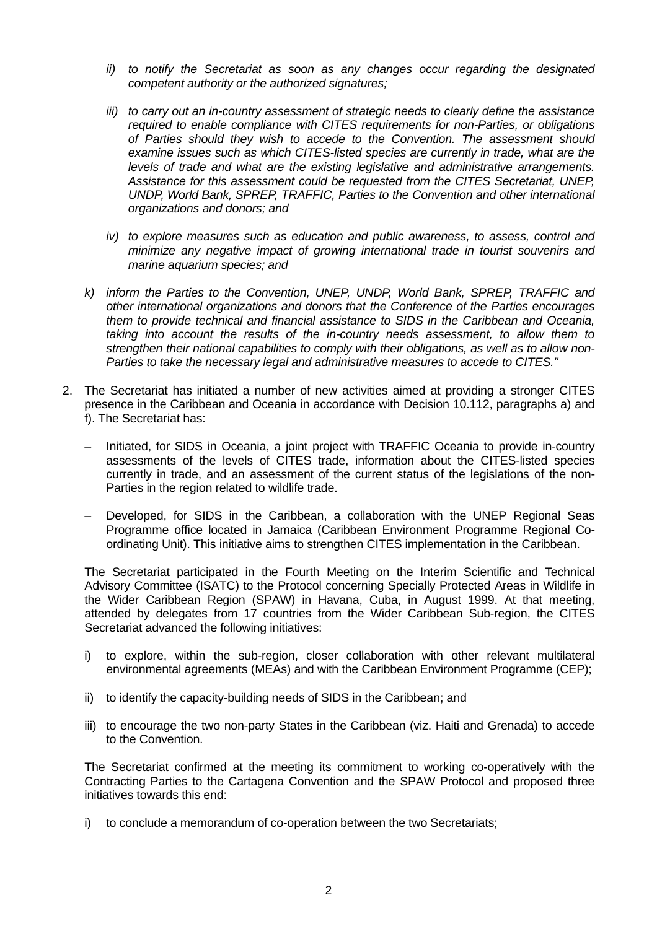- *ii) to notify the Secretariat as soon as any changes occur regarding the designated competent authority or the authorized signatures;*
- *iii) to carry out an in-country assessment of strategic needs to clearly define the assistance required to enable compliance with CITES requirements for non-Parties, or obligations of Parties should they wish to accede to the Convention. The assessment should examine issues such as which CITES-listed species are currently in trade, what are the levels of trade and what are the existing legislative and administrative arrangements. Assistance for this assessment could be requested from the CITES Secretariat, UNEP, UNDP, World Bank, SPREP, TRAFFIC, Parties to the Convention and other international organizations and donors; and*
- *iv) to explore measures such as education and public awareness, to assess, control and minimize any negative impact of growing international trade in tourist souvenirs and marine aquarium species; and*
- *k) inform the Parties to the Convention, UNEP, UNDP, World Bank, SPREP, TRAFFIC and other international organizations and donors that the Conference of the Parties encourages them to provide technical and financial assistance to SIDS in the Caribbean and Oceania, taking into account the results of the in-country needs assessment, to allow them to strengthen their national capabilities to comply with their obligations, as well as to allow non-Parties to take the necessary legal and administrative measures to accede to CITES."*
- 2. The Secretariat has initiated a number of new activities aimed at providing a stronger CITES presence in the Caribbean and Oceania in accordance with Decision 10.112, paragraphs a) and f). The Secretariat has:
	- Initiated, for SIDS in Oceania, a joint project with TRAFFIC Oceania to provide in-country assessments of the levels of CITES trade, information about the CITES-listed species currently in trade, and an assessment of the current status of the legislations of the non-Parties in the region related to wildlife trade.
	- Developed, for SIDS in the Caribbean, a collaboration with the UNEP Regional Seas Programme office located in Jamaica (Caribbean Environment Programme Regional Coordinating Unit). This initiative aims to strengthen CITES implementation in the Caribbean.

The Secretariat participated in the Fourth Meeting on the Interim Scientific and Technical Advisory Committee (ISATC) to the Protocol concerning Specially Protected Areas in Wildlife in the Wider Caribbean Region (SPAW) in Havana, Cuba, in August 1999. At that meeting, attended by delegates from 17 countries from the Wider Caribbean Sub-region, the CITES Secretariat advanced the following initiatives:

- i) to explore, within the sub-region, closer collaboration with other relevant multilateral environmental agreements (MEAs) and with the Caribbean Environment Programme (CEP);
- ii) to identify the capacity-building needs of SIDS in the Caribbean; and
- iii) to encourage the two non-party States in the Caribbean (viz. Haiti and Grenada) to accede to the Convention.

The Secretariat confirmed at the meeting its commitment to working co-operatively with the Contracting Parties to the Cartagena Convention and the SPAW Protocol and proposed three initiatives towards this end:

i) to conclude a memorandum of co-operation between the two Secretariats;